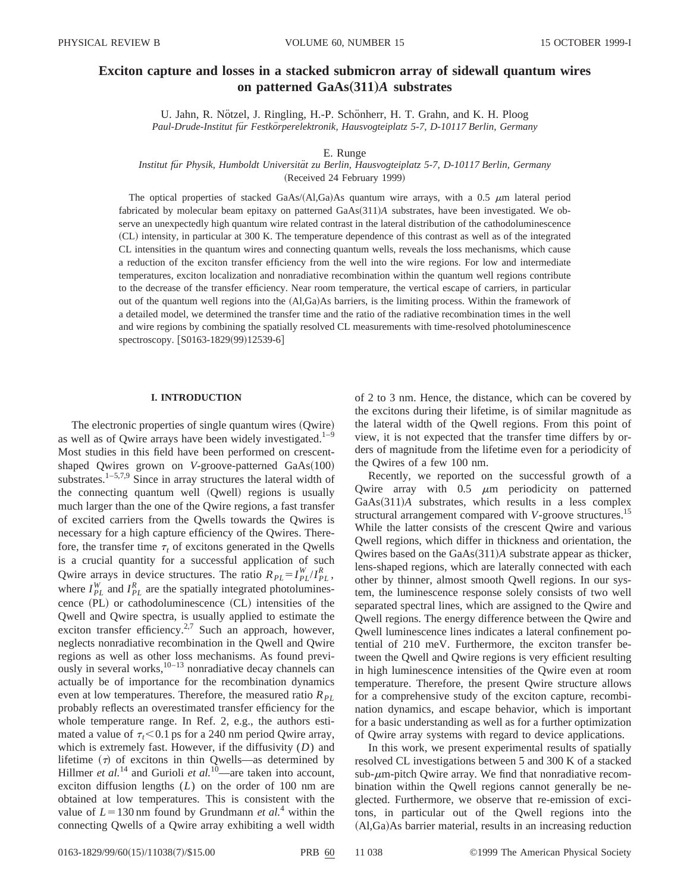# **Exciton capture and losses in a stacked submicron array of sidewall quantum wires on patterned GaAs**"**311**…*A* **substrates**

U. Jahn, R. Nötzel, J. Ringling, H.-P. Schönherr, H. T. Grahn, and K. H. Ploog *Paul-Drude-Institut fu¨r Festko¨rperelektronik, Hausvogteiplatz 5-7, D-10117 Berlin, Germany*

# E. Runge

*Institut fu¨r Physik, Humboldt Universita¨t zu Berlin, Hausvogteiplatz 5-7, D-10117 Berlin, Germany*

(Received 24 February 1999)

The optical properties of stacked GaAs/ $(AI,Ga)$ As quantum wire arrays, with a 0.5  $\mu$ m lateral period fabricated by molecular beam epitaxy on patterned GaAs(311)*A* substrates, have been investigated. We observe an unexpectedly high quantum wire related contrast in the lateral distribution of the cathodoluminescence ~CL! intensity, in particular at 300 K. The temperature dependence of this contrast as well as of the integrated CL intensities in the quantum wires and connecting quantum wells, reveals the loss mechanisms, which cause a reduction of the exciton transfer efficiency from the well into the wire regions. For low and intermediate temperatures, exciton localization and nonradiative recombination within the quantum well regions contribute to the decrease of the transfer efficiency. Near room temperature, the vertical escape of carriers, in particular out of the quantum well regions into the  $(A, Ga)As$  barriers, is the limiting process. Within the framework of a detailed model, we determined the transfer time and the ratio of the radiative recombination times in the well and wire regions by combining the spatially resolved CL measurements with time-resolved photoluminescence spectroscopy. [S0163-1829(99)12539-6]

## **I. INTRODUCTION**

The electronic properties of single quantum wires (Qwire) as well as of Qwire arrays have been widely investigated.<sup>1-9</sup> Most studies in this field have been performed on crescentshaped Qwires grown on *V*-groove-patterned GaAs(100) substrates.<sup>1-5,7,9</sup> Since in array structures the lateral width of the connecting quantum well (Qwell) regions is usually much larger than the one of the Qwire regions, a fast transfer of excited carriers from the Qwells towards the Qwires is necessary for a high capture efficiency of the Qwires. Therefore, the transfer time  $\tau_t$  of excitons generated in the Qwells is a crucial quantity for a successful application of such Qwire arrays in device structures. The ratio  $R_{PL} = I_{PL}^W / I_{PL}^R$ , where  $I_{PL}^W$  and  $I_{PL}^R$  are the spatially integrated photoluminescence  $(PL)$  or cathodoluminescence  $(CL)$  intensities of the Qwell and Qwire spectra, is usually applied to estimate the exciton transfer efficiency.<sup>2,7</sup> Such an approach, however, neglects nonradiative recombination in the Qwell and Qwire regions as well as other loss mechanisms. As found previously in several works, $10-13$  nonradiative decay channels can actually be of importance for the recombination dynamics even at low temperatures. Therefore, the measured ratio  $R_{PL}$ probably reflects an overestimated transfer efficiency for the whole temperature range. In Ref. 2, e.g., the authors estimated a value of  $\tau_t < 0.1$  ps for a 240 nm period Qwire array, which is extremely fast. However, if the diffusivity (*D*) and lifetime  $(\tau)$  of excitons in thin Qwells—as determined by Hillmer *et al.*<sup>14</sup> and Gurioli *et al.*<sup>10</sup>—are taken into account, exciton diffusion lengths (*L*) on the order of 100 nm are obtained at low temperatures. This is consistent with the value of  $L = 130$  nm found by Grundmann *et al.*<sup>4</sup> within the connecting Qwells of a Qwire array exhibiting a well width of 2 to 3 nm. Hence, the distance, which can be covered by the excitons during their lifetime, is of similar magnitude as the lateral width of the Qwell regions. From this point of view, it is not expected that the transfer time differs by orders of magnitude from the lifetime even for a periodicity of the Qwires of a few 100 nm.

Recently, we reported on the successful growth of a Qwire array with  $0.5 \mu m$  periodicity on patterned GaAs(311)*A* substrates, which results in a less complex structural arrangement compared with *V*-groove structures.15 While the latter consists of the crescent Qwire and various Qwell regions, which differ in thickness and orientation, the Qwires based on the GaAs(311)*A* substrate appear as thicker, lens-shaped regions, which are laterally connected with each other by thinner, almost smooth Qwell regions. In our system, the luminescence response solely consists of two well separated spectral lines, which are assigned to the Qwire and Qwell regions. The energy difference between the Qwire and Qwell luminescence lines indicates a lateral confinement potential of 210 meV. Furthermore, the exciton transfer between the Qwell and Qwire regions is very efficient resulting in high luminescence intensities of the Qwire even at room temperature. Therefore, the present Qwire structure allows for a comprehensive study of the exciton capture, recombination dynamics, and escape behavior, which is important for a basic understanding as well as for a further optimization of Qwire array systems with regard to device applications.

In this work, we present experimental results of spatially resolved CL investigations between 5 and 300 K of a stacked sub- $\mu$ m-pitch Qwire array. We find that nonradiative recombination within the Qwell regions cannot generally be neglected. Furthermore, we observe that re-emission of excitons, in particular out of the Qwell regions into the  $(AI, Ga)As barrier material, results in an increasing reduction$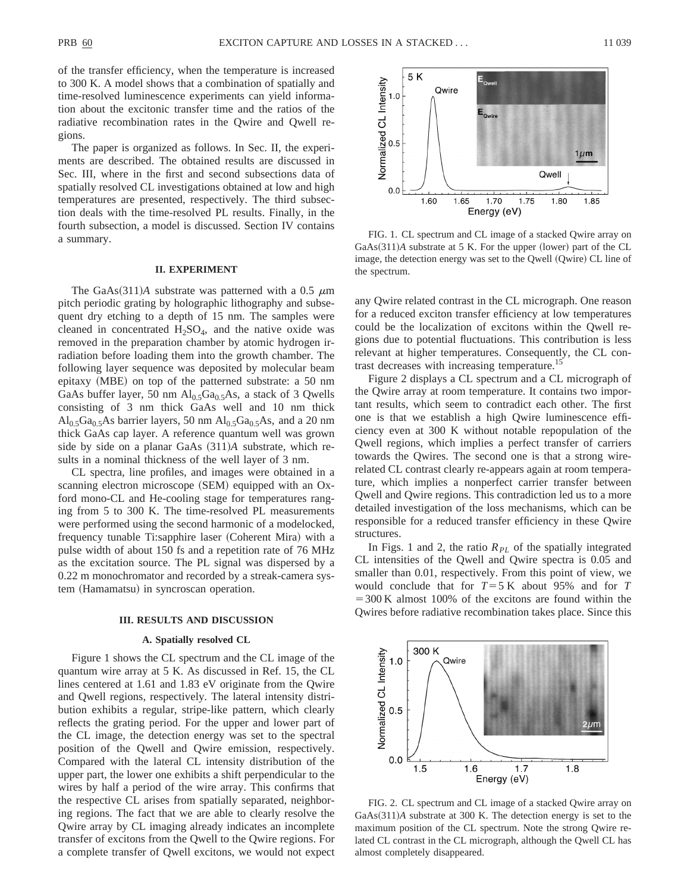of the transfer efficiency, when the temperature is increased to 300 K. A model shows that a combination of spatially and time-resolved luminescence experiments can yield information about the excitonic transfer time and the ratios of the radiative recombination rates in the Qwire and Qwell regions.

The paper is organized as follows. In Sec. II, the experiments are described. The obtained results are discussed in Sec. III, where in the first and second subsections data of spatially resolved CL investigations obtained at low and high temperatures are presented, respectively. The third subsection deals with the time-resolved PL results. Finally, in the fourth subsection, a model is discussed. Section IV contains a summary.

# **II. EXPERIMENT**

The GaAs $(311)$ *A* substrate was patterned with a 0.5  $\mu$ m pitch periodic grating by holographic lithography and subsequent dry etching to a depth of 15 nm. The samples were cleaned in concentrated  $H_2SO_4$ , and the native oxide was removed in the preparation chamber by atomic hydrogen irradiation before loading them into the growth chamber. The following layer sequence was deposited by molecular beam epitaxy  $(MBE)$  on top of the patterned substrate: a 50 nm GaAs buffer layer, 50 nm  $Al<sub>0.5</sub>Ga<sub>0.5</sub>As$ , a stack of 3 Qwells consisting of 3 nm thick GaAs well and 10 nm thick  $\text{Al}_{0.5}\text{Ga}_{0.5}\text{As}$  barrier layers, 50 nm  $\text{Al}_{0.5}\text{Ga}_{0.5}\text{As}$ , and a 20 nm thick GaAs cap layer. A reference quantum well was grown side by side on a planar GaAs  $(311)A$  substrate, which results in a nominal thickness of the well layer of 3 nm.

CL spectra, line profiles, and images were obtained in a scanning electron microscope (SEM) equipped with an Oxford mono-CL and He-cooling stage for temperatures ranging from 5 to 300 K. The time-resolved PL measurements were performed using the second harmonic of a modelocked, frequency tunable Ti:sapphire laser (Coherent Mira) with a pulse width of about 150 fs and a repetition rate of 76 MHz as the excitation source. The PL signal was dispersed by a 0.22 m monochromator and recorded by a streak-camera system (Hamamatsu) in syncroscan operation.

# **III. RESULTS AND DISCUSSION**

# **A. Spatially resolved CL**

Figure 1 shows the CL spectrum and the CL image of the quantum wire array at 5 K. As discussed in Ref. 15, the CL lines centered at 1.61 and 1.83 eV originate from the Qwire and Qwell regions, respectively. The lateral intensity distribution exhibits a regular, stripe-like pattern, which clearly reflects the grating period. For the upper and lower part of the CL image, the detection energy was set to the spectral position of the Qwell and Qwire emission, respectively. Compared with the lateral CL intensity distribution of the upper part, the lower one exhibits a shift perpendicular to the wires by half a period of the wire array. This confirms that the respective CL arises from spatially separated, neighboring regions. The fact that we are able to clearly resolve the Qwire array by CL imaging already indicates an incomplete transfer of excitons from the Qwell to the Qwire regions. For a complete transfer of Qwell excitons, we would not expect



FIG. 1. CL spectrum and CL image of a stacked Qwire array on  $GaAs(311)A$  substrate at 5 K. For the upper (lower) part of the CL image, the detection energy was set to the Qwell (Qwire) CL line of the spectrum.

any Qwire related contrast in the CL micrograph. One reason for a reduced exciton transfer efficiency at low temperatures could be the localization of excitons within the Qwell regions due to potential fluctuations. This contribution is less relevant at higher temperatures. Consequently, the CL contrast decreases with increasing temperature.15

Figure 2 displays a CL spectrum and a CL micrograph of the Qwire array at room temperature. It contains two important results, which seem to contradict each other. The first one is that we establish a high Qwire luminescence efficiency even at 300 K without notable repopulation of the Qwell regions, which implies a perfect transfer of carriers towards the Qwires. The second one is that a strong wirerelated CL contrast clearly re-appears again at room temperature, which implies a nonperfect carrier transfer between Qwell and Qwire regions. This contradiction led us to a more detailed investigation of the loss mechanisms, which can be responsible for a reduced transfer efficiency in these Qwire structures.

In Figs. 1 and 2, the ratio  $R_{PL}$  of the spatially integrated CL intensities of the Qwell and Qwire spectra is 0.05 and smaller than 0.01, respectively. From this point of view, we would conclude that for  $T=5$  K about 95% and for *T*  $=300$  K almost 100% of the excitons are found within the Qwires before radiative recombination takes place. Since this



FIG. 2. CL spectrum and CL image of a stacked Qwire array on GaAs(311)*A* substrate at 300 K. The detection energy is set to the maximum position of the CL spectrum. Note the strong Qwire related CL contrast in the CL micrograph, although the Qwell CL has almost completely disappeared.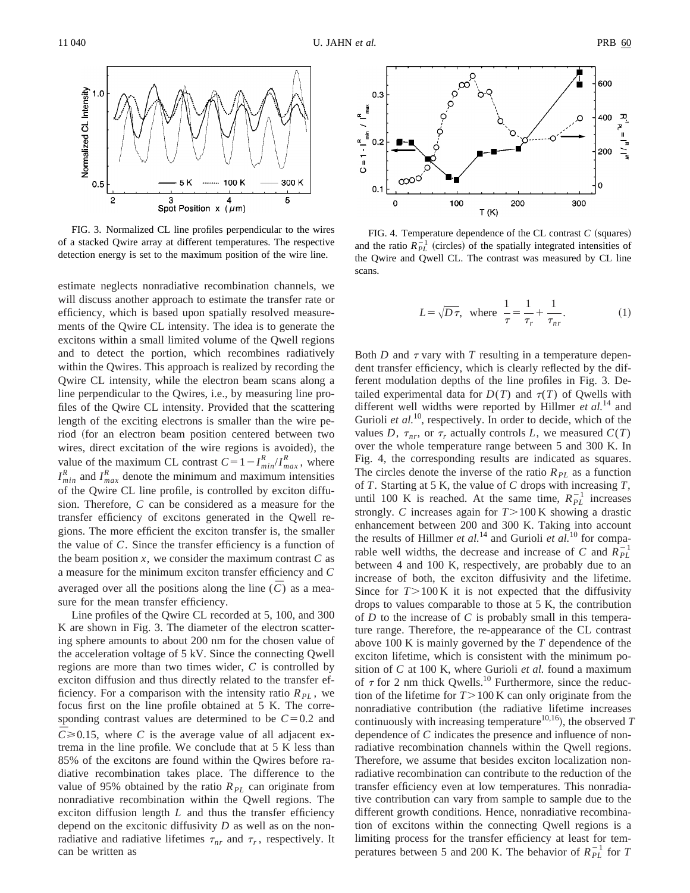

FIG. 3. Normalized CL line profiles perpendicular to the wires of a stacked Qwire array at different temperatures. The respective detection energy is set to the maximum position of the wire line.

estimate neglects nonradiative recombination channels, we will discuss another approach to estimate the transfer rate or efficiency, which is based upon spatially resolved measurements of the Qwire CL intensity. The idea is to generate the excitons within a small limited volume of the Qwell regions and to detect the portion, which recombines radiatively within the Qwires. This approach is realized by recording the Qwire CL intensity, while the electron beam scans along a line perpendicular to the Qwires, i.e., by measuring line profiles of the Qwire CL intensity. Provided that the scattering length of the exciting electrons is smaller than the wire period (for an electron beam position centered between two wires, direct excitation of the wire regions is avoided), the value of the maximum CL contrast  $C = 1 - I_{min}^R / I_{max}^R$ , where  $I_{min}^R$  and  $I_{max}^R$  denote the minimum and maximum intensities of the Qwire CL line profile, is controlled by exciton diffusion. Therefore, *C* can be considered as a measure for the transfer efficiency of excitons generated in the Qwell regions. The more efficient the exciton transfer is, the smaller the value of *C*. Since the transfer efficiency is a function of the beam position  $x$ , we consider the maximum contrast  $C$  as a measure for the minimum exciton transfer efficiency and *C* averaged over all the positions along the line  $(\bar{C})$  as a measure for the mean transfer efficiency.

Line profiles of the Qwire CL recorded at 5, 100, and 300 K are shown in Fig. 3. The diameter of the electron scattering sphere amounts to about 200 nm for the chosen value of the acceleration voltage of 5 kV. Since the connecting Qwell regions are more than two times wider, *C* is controlled by exciton diffusion and thus directly related to the transfer efficiency. For a comparison with the intensity ratio  $R_{PL}$ , we focus first on the line profile obtained at 5 K. The corresponding contrast values are determined to be  $C=0.2$  and  $C \ge 0.15$ , where *C* is the average value of all adjacent extrema in the line profile. We conclude that at 5 K less than 85% of the excitons are found within the Qwires before radiative recombination takes place. The difference to the value of 95% obtained by the ratio  $R_{PL}$  can originate from nonradiative recombination within the Qwell regions. The exciton diffusion length *L* and thus the transfer efficiency depend on the excitonic diffusivity *D* as well as on the nonradiative and radiative lifetimes  $\tau_{nr}$  and  $\tau_r$ , respectively. It can be written as



FIG. 4. Temperature dependence of the CL contrast  $C$  (squares) and the ratio  $R_{PL}^{-1}$  (circles) of the spatially integrated intensities of the Qwire and Qwell CL. The contrast was measured by CL line scans.

$$
L = \sqrt{D\tau}, \text{ where } \frac{1}{\tau} = \frac{1}{\tau_r} + \frac{1}{\tau_{nr}}.
$$
 (1)

Both  $D$  and  $\tau$  vary with  $T$  resulting in a temperature dependent transfer efficiency, which is clearly reflected by the different modulation depths of the line profiles in Fig. 3. Detailed experimental data for  $D(T)$  and  $\tau(T)$  of Qwells with different well widths were reported by Hillmer *et al.*<sup>14</sup> and Gurioli *et al.*<sup>10</sup>, respectively. In order to decide, which of the values *D*,  $\tau_{nr}$ , or  $\tau_r$  actually controls *L*, we measured  $C(T)$ over the whole temperature range between 5 and 300 K. In Fig. 4, the corresponding results are indicated as squares. The circles denote the inverse of the ratio  $R_{PL}$  as a function of *T*. Starting at 5 K, the value of *C* drops with increasing *T*, until 100 K is reached. At the same time,  $R_{PL}^{-1}$  increases strongly. *C* increases again for  $T > 100$  K showing a drastic enhancement between 200 and 300 K. Taking into account the results of Hillmer *et al.*<sup>14</sup> and Gurioli *et al.*<sup>10</sup> for comparable well widths, the decrease and increase of *C* and  $R_{PL}^{-1}$ between 4 and 100 K, respectively, are probably due to an increase of both, the exciton diffusivity and the lifetime. Since for  $T > 100 \text{ K}$  it is not expected that the diffusivity drops to values comparable to those at 5 K, the contribution of *D* to the increase of *C* is probably small in this temperature range. Therefore, the re-appearance of the CL contrast above 100 K is mainly governed by the *T* dependence of the exciton lifetime, which is consistent with the minimum position of *C* at 100 K, where Gurioli *et al.* found a maximum of  $\tau$  for 2 nm thick Qwells.<sup>10</sup> Furthermore, since the reduction of the lifetime for  $T > 100$  K can only originate from the nonradiative contribution (the radiative lifetime increases continuously with increasing temperature<sup>10,16</sup>), the observed  $T$ dependence of *C* indicates the presence and influence of nonradiative recombination channels within the Qwell regions. Therefore, we assume that besides exciton localization nonradiative recombination can contribute to the reduction of the transfer efficiency even at low temperatures. This nonradiative contribution can vary from sample to sample due to the different growth conditions. Hence, nonradiative recombination of excitons within the connecting Qwell regions is a limiting process for the transfer efficiency at least for temperatures between 5 and 200 K. The behavior of  $R_{PL}^{-1}$  for *T*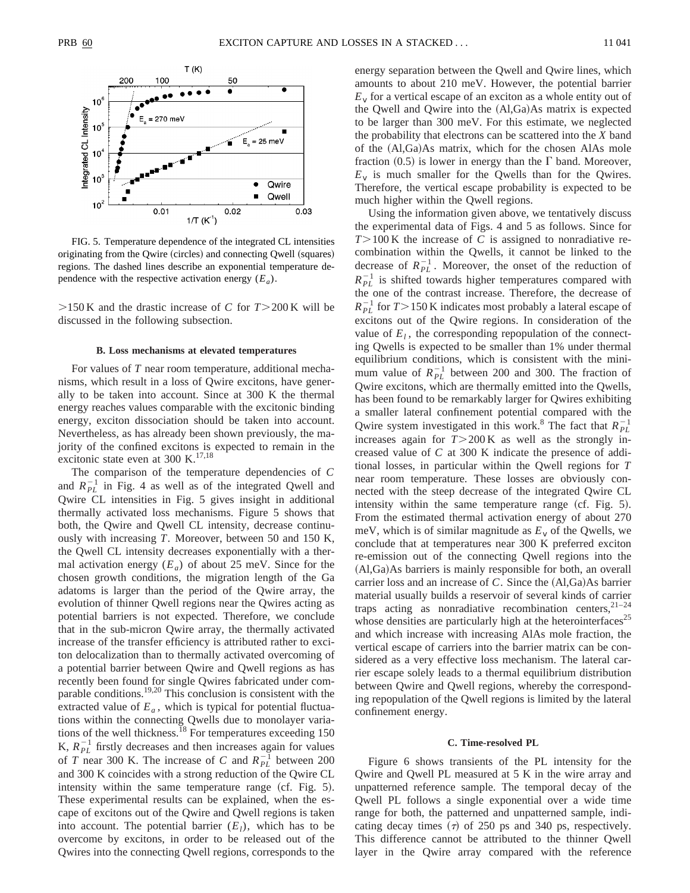

FIG. 5. Temperature dependence of the integrated CL intensities originating from the Qwire (circles) and connecting Qwell (squares) regions. The dashed lines describe an exponential temperature dependence with the respective activation energy  $(E_a)$ .

 $>150$  K and the drastic increase of *C* for  $T > 200$  K will be discussed in the following subsection.

#### **B. Loss mechanisms at elevated temperatures**

For values of *T* near room temperature, additional mechanisms, which result in a loss of Qwire excitons, have generally to be taken into account. Since at 300 K the thermal energy reaches values comparable with the excitonic binding energy, exciton dissociation should be taken into account. Nevertheless, as has already been shown previously, the majority of the confined excitons is expected to remain in the excitonic state even at 300 K. $^{17,18}$ 

The comparison of the temperature dependencies of *C* and  $R_{PL}^{-1}$  in Fig. 4 as well as of the integrated Qwell and Qwire CL intensities in Fig. 5 gives insight in additional thermally activated loss mechanisms. Figure 5 shows that both, the Qwire and Qwell CL intensity, decrease continuously with increasing *T*. Moreover, between 50 and 150 K, the Qwell CL intensity decreases exponentially with a thermal activation energy  $(E_a)$  of about 25 meV. Since for the chosen growth conditions, the migration length of the Ga adatoms is larger than the period of the Qwire array, the evolution of thinner Qwell regions near the Qwires acting as potential barriers is not expected. Therefore, we conclude that in the sub-micron Qwire array, the thermally activated increase of the transfer efficiency is attributed rather to exciton delocalization than to thermally activated overcoming of a potential barrier between Qwire and Qwell regions as has recently been found for single Qwires fabricated under comparable conditions.19,20 This conclusion is consistent with the extracted value of  $E_a$ , which is typical for potential fluctuations within the connecting Qwells due to monolayer variations of the well thickness.<sup>18</sup> For temperatures exceeding 150 K,  $R_{PL}^{-1}$  firstly decreases and then increases again for values of *T* near 300 K. The increase of *C* and  $R_{PL}^{-1}$  between 200 and 300 K coincides with a strong reduction of the Qwire CL intensity within the same temperature range  $(cf. Fig. 5)$ . These experimental results can be explained, when the escape of excitons out of the Qwire and Qwell regions is taken into account. The potential barrier  $(E_l)$ , which has to be overcome by excitons, in order to be released out of the Qwires into the connecting Qwell regions, corresponds to the energy separation between the Qwell and Qwire lines, which amounts to about 210 meV. However, the potential barrier  $E<sub>v</sub>$  for a vertical escape of an exciton as a whole entity out of the Qwell and Qwire into the  $(Al,Ga)As$  matrix is expected to be larger than 300 meV. For this estimate, we neglected the probability that electrons can be scattered into the *X* band of the  $(Al,Ga)As$  matrix, which for the chosen AlAs mole fraction  $(0.5)$  is lower in energy than the  $\Gamma$  band. Moreover,  $E_v$  is much smaller for the Qwells than for the Qwires. Therefore, the vertical escape probability is expected to be much higher within the Qwell regions.

Using the information given above, we tentatively discuss the experimental data of Figs. 4 and 5 as follows. Since for  $T > 100$  K the increase of *C* is assigned to nonradiative recombination within the Qwells, it cannot be linked to the decrease of  $R_{PL}^{-1}$ . Moreover, the onset of the reduction of  $R_{PL}^{-1}$  is shifted towards higher temperatures compared with the one of the contrast increase. Therefore, the decrease of  $R_{PL}^{-1}$  for  $T > 150$  K indicates most probably a lateral escape of excitons out of the Qwire regions. In consideration of the value of  $E_l$ , the corresponding repopulation of the connecting Qwells is expected to be smaller than 1% under thermal equilibrium conditions, which is consistent with the minimum value of  $R_{PL}^{-1}$  between 200 and 300. The fraction of Qwire excitons, which are thermally emitted into the Qwells, has been found to be remarkably larger for Qwires exhibiting a smaller lateral confinement potential compared with the Qwire system investigated in this work.<sup>8</sup> The fact that  $R_{PL}^{-1}$ increases again for  $T > 200$  K as well as the strongly increased value of *C* at 300 K indicate the presence of additional losses, in particular within the Qwell regions for *T* near room temperature. These losses are obviously connected with the steep decrease of the integrated Qwire CL intensity within the same temperature range  $(cf. Fig. 5)$ . From the estimated thermal activation energy of about 270 meV, which is of similar magnitude as  $E<sub>v</sub>$  of the Qwells, we conclude that at temperatures near 300 K preferred exciton re-emission out of the connecting Qwell regions into the  $(Al,Ga)$ As barriers is mainly responsible for both, an overall carrier loss and an increase of  $C$ . Since the  $(A1,Ga)As$  barrier material usually builds a reservoir of several kinds of carrier traps acting as nonradiative recombination centers,  $2^{1-24}$ whose densities are particularly high at the heterointerfaces<sup>25</sup> and which increase with increasing AlAs mole fraction, the vertical escape of carriers into the barrier matrix can be considered as a very effective loss mechanism. The lateral carrier escape solely leads to a thermal equilibrium distribution between Qwire and Qwell regions, whereby the corresponding repopulation of the Qwell regions is limited by the lateral confinement energy.

### **C. Time-resolved PL**

Figure 6 shows transients of the PL intensity for the Qwire and Qwell PL measured at 5 K in the wire array and unpatterned reference sample. The temporal decay of the Qwell PL follows a single exponential over a wide time range for both, the patterned and unpatterned sample, indicating decay times  $(7)$  of 250 ps and 340 ps, respectively. This difference cannot be attributed to the thinner Qwell layer in the Qwire array compared with the reference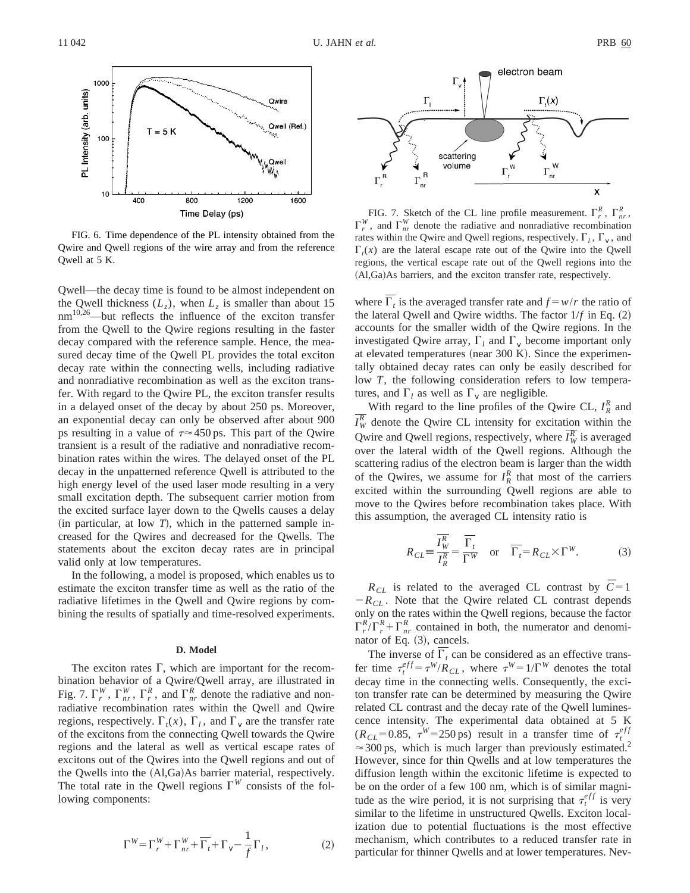

FIG. 6. Time dependence of the PL intensity obtained from the Qwire and Qwell regions of the wire array and from the reference Qwell at 5 K.

Qwell—the decay time is found to be almost independent on the Qwell thickness  $(L_z)$ , when  $L_z$  is smaller than about 15 nm<sup>10,26</sup>—but reflects the influence of the exciton transfer from the Qwell to the Qwire regions resulting in the faster decay compared with the reference sample. Hence, the measured decay time of the Qwell PL provides the total exciton decay rate within the connecting wells, including radiative and nonradiative recombination as well as the exciton transfer. With regard to the Qwire PL, the exciton transfer results in a delayed onset of the decay by about 250 ps. Moreover, an exponential decay can only be observed after about 900 ps resulting in a value of  $\tau \approx 450$  ps. This part of the Qwire transient is a result of the radiative and nonradiative recombination rates within the wires. The delayed onset of the PL decay in the unpatterned reference Qwell is attributed to the high energy level of the used laser mode resulting in a very small excitation depth. The subsequent carrier motion from the excited surface layer down to the Qwells causes a delay  $(in$  particular, at low *T*), which in the patterned sample increased for the Qwires and decreased for the Qwells. The statements about the exciton decay rates are in principal valid only at low temperatures.

In the following, a model is proposed, which enables us to estimate the exciton transfer time as well as the ratio of the radiative lifetimes in the Qwell and Qwire regions by combining the results of spatially and time-resolved experiments.

# **D. Model**

The exciton rates  $\Gamma$ , which are important for the recombination behavior of a Qwire/Qwell array, are illustrated in Fig. 7.  $\Gamma_r^W$ ,  $\Gamma_{nr}^W$ ,  $\Gamma_r^R$ , and  $\Gamma_{nr}^R$  denote the radiative and nonradiative recombination rates within the Qwell and Qwire regions, respectively.  $\Gamma_t(x)$ ,  $\Gamma_t$ , and  $\Gamma_v$  are the transfer rate of the excitons from the connecting Qwell towards the Qwire regions and the lateral as well as vertical escape rates of excitons out of the Qwires into the Qwell regions and out of the Qwells into the  $(Al,Ga)As$  barrier material, respectively. The total rate in the Qwell regions  $\Gamma^{W}$  consists of the following components:

$$
\Gamma^{W} = \Gamma_r^{W} + \Gamma_{nr}^{W} + \overline{\Gamma_t} + \Gamma_v - \frac{1}{f} \Gamma_l, \qquad (2)
$$



FIG. 7. Sketch of the CL line profile measurement.  $\Gamma_r^R$ ,  $\Gamma_{nr}^R$ ,  $\Gamma_r^W$ , and  $\Gamma_{nr}^W$  denote the radiative and nonradiative recombination rates within the Qwire and Qwell regions, respectively.  $\Gamma_l$ ,  $\Gamma_v$ , and  $\Gamma_t(x)$  are the lateral escape rate out of the Qwire into the Qwell regions, the vertical escape rate out of the Qwell regions into the (Al,Ga)As barriers, and the exciton transfer rate, respectively.

where  $\Gamma_t$  is the averaged transfer rate and  $f = w/r$  the ratio of the lateral Qwell and Qwire widths. The factor  $1/f$  in Eq.  $(2)$ accounts for the smaller width of the Qwire regions. In the investigated Qwire array,  $\Gamma_l$  and  $\Gamma_v$  become important only at elevated temperatures (near  $300 \text{ K}$ ). Since the experimentally obtained decay rates can only be easily described for low *T*, the following consideration refers to low temperatures, and  $\Gamma_l$  as well as  $\Gamma_v$  are negligible.

With regard to the line profiles of the Qwire CL,  $I_R^R$  and  $\overline{I_W^R}$  denote the Qwire CL intensity for excitation within the Qwire and Qwell regions, respectively, where  $\overline{I_W^R}$  is averaged over the lateral width of the Qwell regions. Although the scattering radius of the electron beam is larger than the width of the Qwires, we assume for  $I_R^R$  that most of the carriers excited within the surrounding Qwell regions are able to move to the Qwires before recombination takes place. With this assumption, the averaged CL intensity ratio is

$$
R_{CL} = \frac{\overline{I_{W}^{R}}}{\overline{I_{R}^{R}}} = \frac{\overline{\Gamma_{t}}}{\Gamma^{W}} \quad \text{or} \quad \overline{\Gamma_{t}} = R_{CL} \times \Gamma^{W}. \tag{3}
$$

 $R_{CL}$  is related to the averaged CL contrast by  $\overline{C} = 1$  $-R_{CL}$ . Note that the Qwire related CL contrast depends only on the rates within the Qwell regions, because the factor  $\Gamma_r^R/\Gamma_r^R + \Gamma_{nr}^R$  contained in both, the numerator and denominator of Eq. (3), cancels.

The inverse of  $\Gamma_t$  can be considered as an effective transfer time  $\tau_t^{eff} = \tau^W/R_{CL}$ , where  $\tau^W = 1/\Gamma^W$  denotes the total decay time in the connecting wells. Consequently, the exciton transfer rate can be determined by measuring the Qwire related CL contrast and the decay rate of the Qwell luminescence intensity. The experimental data obtained at 5 K  $(R_{CL} = 0.85, \tau^W = 250 \text{ ps})$  result in a transfer time of  $\tau_t^{eff}$  $\approx$  300 ps, which is much larger than previously estimated.<sup>2</sup> However, since for thin Qwells and at low temperatures the diffusion length within the excitonic lifetime is expected to be on the order of a few 100 nm, which is of similar magnitude as the wire period, it is not surprising that  $\tau_t^{eff}$  is very similar to the lifetime in unstructured Qwells. Exciton localization due to potential fluctuations is the most effective mechanism, which contributes to a reduced transfer rate in particular for thinner Qwells and at lower temperatures. Nev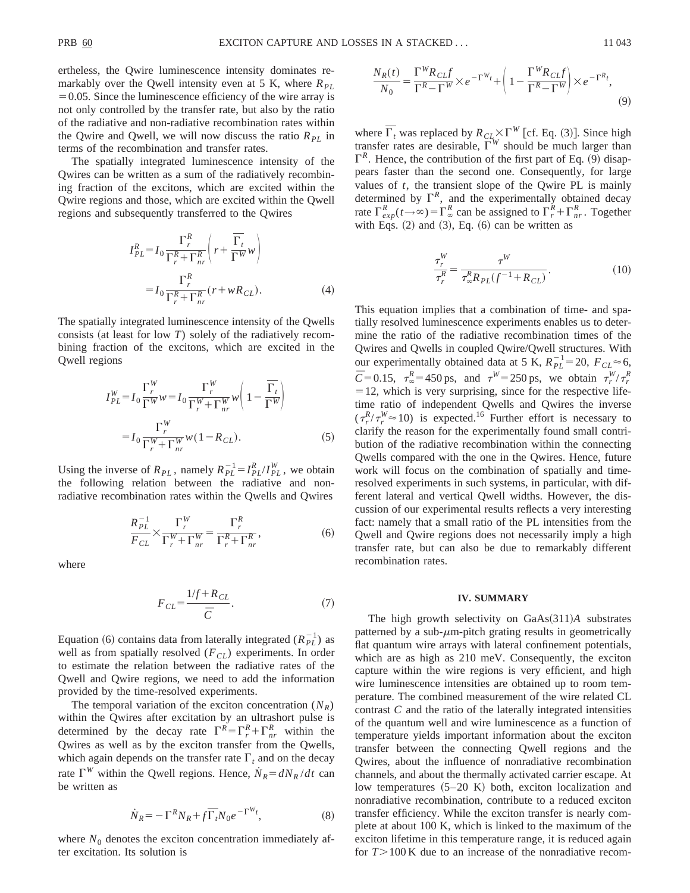ertheless, the Qwire luminescence intensity dominates remarkably over the Qwell intensity even at 5 K, where  $R_{PL}$  $=0.05$ . Since the luminescence efficiency of the wire array is not only controlled by the transfer rate, but also by the ratio of the radiative and non-radiative recombination rates within the Qwire and Qwell, we will now discuss the ratio  $R_{PL}$  in terms of the recombination and transfer rates.

The spatially integrated luminescence intensity of the Qwires can be written as a sum of the radiatively recombining fraction of the excitons, which are excited within the Qwire regions and those, which are excited within the Qwell regions and subsequently transferred to the Qwires

$$
I_{PL}^R = I_0 \frac{\Gamma_r^R}{\Gamma_r^R + \Gamma_{nr}^R} \left( r + \frac{\overline{\Gamma_t}}{\Gamma^W} w \right)
$$
  
= 
$$
I_0 \frac{\Gamma_r^R}{\Gamma_r^R + \Gamma_{nr}^R} (r + w R_{CL}). \tag{4}
$$

The spatially integrated luminescence intensity of the Qwells consists (at least for low  $T$ ) solely of the radiatively recombining fraction of the excitons, which are excited in the Qwell regions

$$
I_{PL}^W = I_0 \frac{\Gamma_r^W}{\Gamma^W} w = I_0 \frac{\Gamma_r^W}{\Gamma_r^W + \Gamma_{nr}^W} w \left( 1 - \frac{\overline{\Gamma_t}}{\Gamma^W} \right)
$$
  
= 
$$
I_0 \frac{\Gamma_r^W}{\Gamma_r^W + \Gamma_{nr}^W} w (1 - R_{CL}). \tag{5}
$$

Using the inverse of  $R_{PL}$ , namely  $R_{PL}^{-1} = I_{PL}^R / I_{PL}^W$ , we obtain the following relation between the radiative and nonradiative recombination rates within the Qwells and Qwires

$$
\frac{R_{PL}^{-1}}{F_{CL}} \times \frac{\Gamma_r^W}{\Gamma_r^W + \Gamma_{nr}^W} = \frac{\Gamma_r^R}{\Gamma_r^R + \Gamma_{nr}^R},
$$
(6)

where

$$
F_{CL} = \frac{1/f + R_{CL}}{\bar{C}}.\tag{7}
$$

Equation (6) contains data from laterally integrated  $(R_{PL}^{-1})$  as well as from spatially resolved  $(F_{CL})$  experiments. In order to estimate the relation between the radiative rates of the Qwell and Qwire regions, we need to add the information provided by the time-resolved experiments.

The temporal variation of the exciton concentration  $(N_R)$ within the Qwires after excitation by an ultrashort pulse is determined by the decay rate  $\Gamma^R = \Gamma^R_r + \Gamma^R_{nr}$  within the Qwires as well as by the exciton transfer from the Qwells, which again depends on the transfer rate  $\Gamma_t$  and on the decay rate  $\Gamma^{W}$  within the Qwell regions. Hence,  $\dot{N}_R = dN_R/dt$  can be written as

$$
\dot{N}_R = -\Gamma^R N_R + f \overline{\Gamma}_t N_0 e^{-\Gamma^{W_t}},\tag{8}
$$

where  $N_0$  denotes the exciton concentration immediately after excitation. Its solution is

$$
\frac{N_R(t)}{N_0} = \frac{\Gamma^W R_{CL} f}{\Gamma^R - \Gamma^W} \times e^{-\Gamma^W t} + \left(1 - \frac{\Gamma^W R_{CL} f}{\Gamma^R - \Gamma^W}\right) \times e^{-\Gamma^R t},\tag{9}
$$

where  $\overline{\Gamma_t}$  was replaced by  $R_{CL} \times \Gamma^W$  [cf. Eq. (3)]. Since high transfer rates are desirable,  $\Gamma^{W}$  should be much larger than  $\Gamma^R$ . Hence, the contribution of the first part of Eq. (9) disappears faster than the second one. Consequently, for large values of *t*, the transient slope of the Qwire PL is mainly determined by  $\Gamma^R$ , and the experimentally obtained decay rate  $\Gamma_{exp}^{R}(t \rightarrow \infty) = \Gamma_{\infty}^{R}$  can be assigned to  $\Gamma_{r}^{R} + \Gamma_{nr}^{R}$ . Together with Eqs.  $(2)$  and  $(3)$ , Eq.  $(6)$  can be written as

$$
\frac{\tau_r^W}{\tau_r^R} = \frac{\tau^W}{\tau_{\infty}^R R_{PL}(f^{-1} + R_{CL})}.
$$
\n(10)

This equation implies that a combination of time- and spatially resolved luminescence experiments enables us to determine the ratio of the radiative recombination times of the Qwires and Qwells in coupled Qwire/Qwell structures. With our experimentally obtained data at 5 K,  $R_{PL}^{-1}$  = 20,  $F_{CL}$   $\approx$  6,  $\bar{C}$ =0.15,  $\tau_{\infty}^{R}$ =450 ps, and  $\tau^{W}=$ 250 ps, we obtain  $\tau_{r}^{W}/\tau_{r}^{R}$  $=$  12, which is very surprising, since for the respective lifetime ratio of independent Qwells and Qwires the inverse  $(\tau_r^R / \tau_r^W \approx 10)$  is expected.<sup>16</sup> Further effort is necessary to clarify the reason for the experimentally found small contribution of the radiative recombination within the connecting Qwells compared with the one in the Qwires. Hence, future work will focus on the combination of spatially and timeresolved experiments in such systems, in particular, with different lateral and vertical Qwell widths. However, the discussion of our experimental results reflects a very interesting fact: namely that a small ratio of the PL intensities from the Qwell and Qwire regions does not necessarily imply a high transfer rate, but can also be due to remarkably different recombination rates.

### **IV. SUMMARY**

The high growth selectivity on GaAs(311)*A* substrates patterned by a sub- $\mu$ m-pitch grating results in geometrically flat quantum wire arrays with lateral confinement potentials, which are as high as 210 meV. Consequently, the exciton capture within the wire regions is very efficient, and high wire luminescence intensities are obtained up to room temperature. The combined measurement of the wire related CL contrast *C* and the ratio of the laterally integrated intensities of the quantum well and wire luminescence as a function of temperature yields important information about the exciton transfer between the connecting Qwell regions and the Qwires, about the influence of nonradiative recombination channels, and about the thermally activated carrier escape. At low temperatures  $(5-20 K)$  both, exciton localization and nonradiative recombination, contribute to a reduced exciton transfer efficiency. While the exciton transfer is nearly complete at about 100 K, which is linked to the maximum of the exciton lifetime in this temperature range, it is reduced again for  $T > 100$  K due to an increase of the nonradiative recom